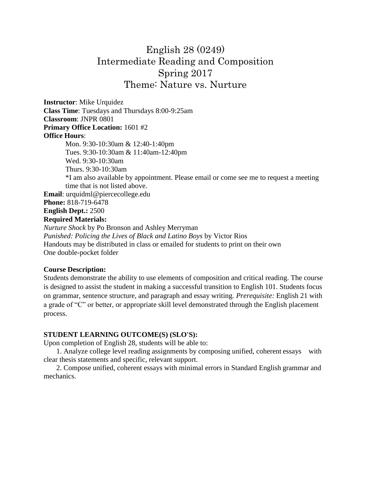# English 28 (0249) Intermediate Reading and Composition Spring 2017 Theme: Nature vs. Nurture

**Instructor**: Mike Urquidez **Class Time**: Tuesdays and Thursdays 8:00-9:25am **Classroom**: JNPR 0801 **Primary Office Location:** 1601 #2 **Office Hours**: Mon. 9:30-10:30am & 12:40-1:40pm Tues. 9:30-10:30am & 11:40am-12:40pm Wed. 9:30-10:30am Thurs. 9:30-10:30am \*I am also available by appointment. Please email or come see me to request a meeting time that is not listed above. **Email**: urquidml@piercecollege.edu **Phone:** 818-719-6478 **English Dept.:** 2500 **Required Materials:** 

*Nurture Shock* by Po Bronson and Ashley Merryman *Punished: Policing the Lives of Black and Latino Boys* by Victor Rios Handouts may be distributed in class or emailed for students to print on their own One double-pocket folder

#### **Course Description:**

Students demonstrate the ability to use elements of composition and critical reading. The course is designed to assist the student in making a successful transition to English 101. Students focus on grammar, sentence structure, and paragraph and essay writing. *Prerequisite:* English 21 with a grade of "C" or better, or appropriate skill level demonstrated through the English placement process.

### **STUDENT LEARNING OUTCOME(S) (SLO'S):**

Upon completion of English 28, students will be able to:

 1. Analyze college level reading assignments by composing unified, coherent essays with clear thesis statements and specific, relevant support.

 2. Compose unified, coherent essays with minimal errors in Standard English grammar and mechanics.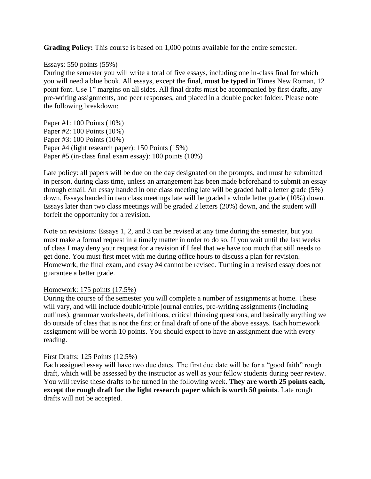**Grading Policy:** This course is based on 1,000 points available for the entire semester.

#### Essays: 550 points (55%)

During the semester you will write a total of five essays, including one in-class final for which you will need a blue book. All essays, except the final, **must be typed** in Times New Roman, 12 point font. Use 1" margins on all sides. All final drafts must be accompanied by first drafts, any pre-writing assignments, and peer responses, and placed in a double pocket folder. Please note the following breakdown:

Paper #1: 100 Points (10%) Paper #2: 100 Points (10%) Paper #3: 100 Points (10%) Paper #4 (light research paper): 150 Points (15%) Paper #5 (in-class final exam essay): 100 points (10%)

Late policy: all papers will be due on the day designated on the prompts, and must be submitted in person, during class time, unless an arrangement has been made beforehand to submit an essay through email. An essay handed in one class meeting late will be graded half a letter grade (5%) down. Essays handed in two class meetings late will be graded a whole letter grade (10%) down. Essays later than two class meetings will be graded 2 letters (20%) down, and the student will forfeit the opportunity for a revision.

Note on revisions: Essays 1, 2, and 3 can be revised at any time during the semester, but you must make a formal request in a timely matter in order to do so. If you wait until the last weeks of class I may deny your request for a revision if I feel that we have too much that still needs to get done. You must first meet with me during office hours to discuss a plan for revision. Homework, the final exam, and essay #4 cannot be revised. Turning in a revised essay does not guarantee a better grade.

### Homework: 175 points (17.5%)

During the course of the semester you will complete a number of assignments at home. These will vary, and will include double/triple journal entries, pre-writing assignments (including outlines), grammar worksheets, definitions, critical thinking questions, and basically anything we do outside of class that is not the first or final draft of one of the above essays. Each homework assignment will be worth 10 points. You should expect to have an assignment due with every reading.

### First Drafts: 125 Points (12.5%)

Each assigned essay will have two due dates. The first due date will be for a "good faith" rough draft, which will be assessed by the instructor as well as your fellow students during peer review. You will revise these drafts to be turned in the following week. **They are worth 25 points each, except the rough draft for the light research paper which is worth 50 points**. Late rough drafts will not be accepted.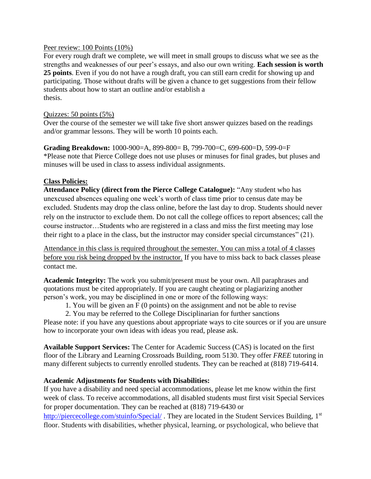### Peer review: 100 Points (10%)

For every rough draft we complete, we will meet in small groups to discuss what we see as the strengths and weaknesses of our peer's essays, and also our own writing. **Each session is worth 25 points**. Even if you do not have a rough draft, you can still earn credit for showing up and participating. Those without drafts will be given a chance to get suggestions from their fellow students about how to start an outline and/or establish a thesis.

### Quizzes: 50 points (5%)

Over the course of the semester we will take five short answer quizzes based on the readings and/or grammar lessons. They will be worth 10 points each.

**Grading Breakdown:** 1000-900=A, 899-800= B, 799-700=C, 699-600=D, 599-0=F \*Please note that Pierce College does not use pluses or minuses for final grades, but pluses and minuses will be used in class to assess individual assignments.

### **Class Policies:**

**Attendance Policy (direct from the Pierce College Catalogue):** "Any student who has unexcused absences equaling one week's worth of class time prior to census date may be excluded. Students may drop the class online, before the last day to drop. Students should never rely on the instructor to exclude them. Do not call the college offices to report absences; call the course instructor…Students who are registered in a class and miss the first meeting may lose their right to a place in the class, but the instructor may consider special circumstances" (21).

Attendance in this class is required throughout the semester. You can miss a total of 4 classes before you risk being dropped by the instructor. If you have to miss back to back classes please contact me.

**Academic Integrity:** The work you submit/present must be your own. All paraphrases and quotations must be cited appropriately. If you are caught cheating or plagiarizing another person's work, you may be disciplined in one or more of the following ways:

1. You will be given an F (0 points) on the assignment and not be able to revise

2. You may be referred to the College Disciplinarian for further sanctions Please note: if you have any questions about appropriate ways to cite sources or if you are unsure how to incorporate your own ideas with ideas you read, please ask.

**Available Support Services:** The Center for Academic Success (CAS) is located on the first floor of the Library and Learning Crossroads Building, room 5130. They offer *FREE* tutoring in many different subjects to currently enrolled students. They can be reached at (818) 719-6414.

## **Academic Adjustments for Students with Disabilities:**

If you have a disability and need special accommodations, please let me know within the first week of class. To receive accommodations, all disabled students must first visit Special Services for proper documentation. They can be reached at (818) 719-6430 or

<http://piercecollege.com/stuinfo/Special/>. They are located in the Student Services Building, 1<sup>st</sup> floor. Students with disabilities, whether physical, learning, or psychological, who believe that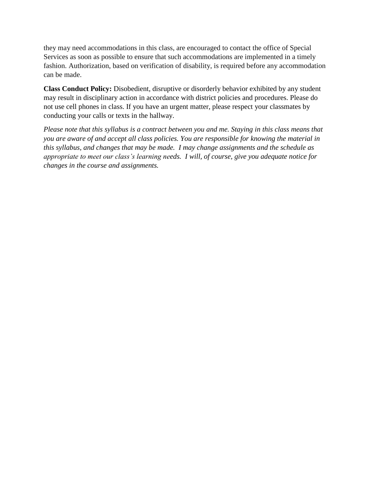they may need accommodations in this class, are encouraged to contact the office of Special Services as soon as possible to ensure that such accommodations are implemented in a timely fashion. Authorization, based on verification of disability, is required before any accommodation can be made.

**Class Conduct Policy:** Disobedient, disruptive or disorderly behavior exhibited by any student may result in disciplinary action in accordance with district policies and procedures. Please do not use cell phones in class. If you have an urgent matter, please respect your classmates by conducting your calls or texts in the hallway.

*Please note that this syllabus is a contract between you and me. Staying in this class means that you are aware of and accept all class policies. You are responsible for knowing the material in this syllabus, and changes that may be made. I may change assignments and the schedule as appropriate to meet our class's learning needs. I will, of course, give you adequate notice for changes in the course and assignments.*